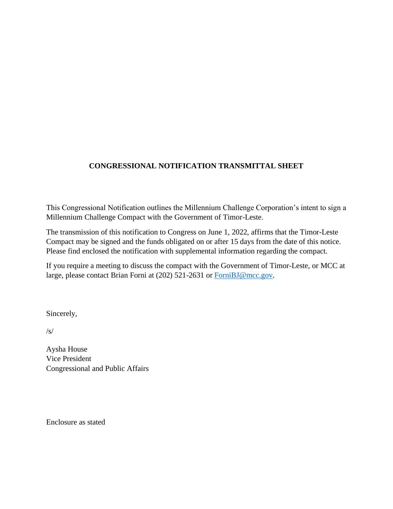# **CONGRESSIONAL NOTIFICATION TRANSMITTAL SHEET**

This Congressional Notification outlines the Millennium Challenge Corporation's intent to sign a Millennium Challenge Compact with the Government of Timor-Leste.

The transmission of this notification to Congress on June 1, 2022, affirms that the Timor-Leste Compact may be signed and the funds obligated on or after 15 days from the date of this notice. Please find enclosed the notification with supplemental information regarding the compact.

If you require a meeting to discuss the compact with the Government of Timor-Leste, or MCC at large, please contact Brian Forni at (202) 521-2631 or [ForniBJ@mcc.gov.](mailto:ForniBJ@mcc.gov)

Sincerely,

 $\sqrt{s}$ 

Aysha House Vice President Congressional and Public Affairs

Enclosure as stated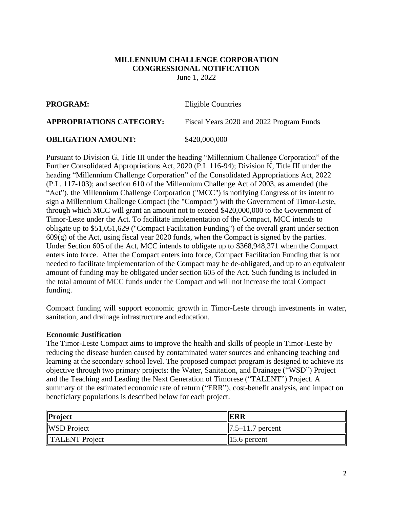#### **MILLENNIUM CHALLENGE CORPORATION CONGRESSIONAL NOTIFICATION** June 1, 2022

**PROGRAM:** Eligible Countries

**APPROPRIATIONS CATEGORY:** Fiscal Years 2020 and 2022 Program Funds

## **OBLIGATION AMOUNT:** \$420,000,000

Pursuant to Division G, Title III under the heading "Millennium Challenge Corporation" of the Further Consolidated Appropriations Act, 2020 (P.L 116-94); Division K, Title III under the heading "Millennium Challenge Corporation" of the Consolidated Appropriations Act, 2022 (P.L. 117-103); and section 610 of the Millennium Challenge Act of 2003, as amended (the "Act"), the Millennium Challenge Corporation ("MCC") is notifying Congress of its intent to sign a Millennium Challenge Compact (the "Compact") with the Government of Timor-Leste, through which MCC will grant an amount not to exceed \$420,000,000 to the Government of Timor-Leste under the Act. To facilitate implementation of the Compact, MCC intends to obligate up to \$51,051,629 ("Compact Facilitation Funding") of the overall grant under section  $609(g)$  of the Act, using fiscal year 2020 funds, when the Compact is signed by the parties. Under Section 605 of the Act, MCC intends to obligate up to \$368,948,371 when the Compact enters into force. After the Compact enters into force, Compact Facilitation Funding that is not needed to facilitate implementation of the Compact may be de-obligated, and up to an equivalent amount of funding may be obligated under section 605 of the Act. Such funding is included in the total amount of MCC funds under the Compact and will not increase the total Compact funding.

Compact funding will support economic growth in Timor-Leste through investments in water, sanitation, and drainage infrastructure and education.

#### **Economic Justification**

The Timor-Leste Compact aims to improve the health and skills of people in Timor-Leste by reducing the disease burden caused by contaminated water sources and enhancing teaching and learning at the secondary school level. The proposed compact program is designed to achieve its objective through two primary projects: the Water, Sanitation, and Drainage ("WSD") Project and the Teaching and Leading the Next Generation of Timorese ("TALENT") Project. A summary of the estimated economic rate of return ("ERR"), cost-benefit analysis, and impact on beneficiary populations is described below for each project.

| Project            | <b>IERR</b>                         |
|--------------------|-------------------------------------|
| <b>WSD</b> Project | $\left  7.5 - 11.7 \right $ percent |
| TALENT Project     | $\parallel$ 15.6 percent            |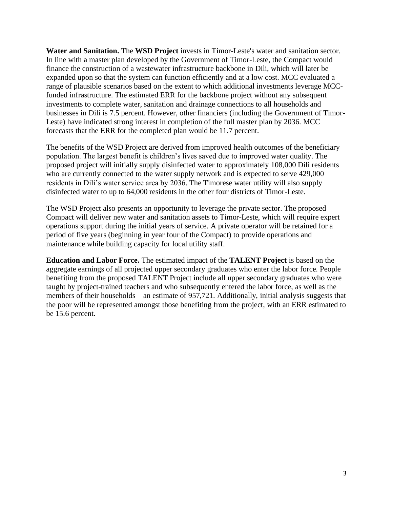**Water and Sanitation.** The **WSD Project** invests in Timor-Leste's water and sanitation sector. In line with a master plan developed by the Government of Timor-Leste, the Compact would finance the construction of a wastewater infrastructure backbone in Dili, which will later be expanded upon so that the system can function efficiently and at a low cost. MCC evaluated a range of plausible scenarios based on the extent to which additional investments leverage MCCfunded infrastructure. The estimated ERR for the backbone project without any subsequent investments to complete water, sanitation and drainage connections to all households and businesses in Dili is 7.5 percent. However, other financiers (including the Government of Timor-Leste) have indicated strong interest in completion of the full master plan by 2036. MCC forecasts that the ERR for the completed plan would be 11.7 percent.

The benefits of the WSD Project are derived from improved health outcomes of the beneficiary population. The largest benefit is children's lives saved due to improved water quality. The proposed project will initially supply disinfected water to approximately 108,000 Dili residents who are currently connected to the water supply network and is expected to serve 429,000 residents in Dili's water service area by 2036. The Timorese water utility will also supply disinfected water to up to 64,000 residents in the other four districts of Timor-Leste.

The WSD Project also presents an opportunity to leverage the private sector. The proposed Compact will deliver new water and sanitation assets to Timor-Leste, which will require expert operations support during the initial years of service. A private operator will be retained for a period of five years (beginning in year four of the Compact) to provide operations and maintenance while building capacity for local utility staff.

**Education and Labor Force.** The estimated impact of the **TALENT Project** is based on the aggregate earnings of all projected upper secondary graduates who enter the labor force. People benefiting from the proposed TALENT Project include all upper secondary graduates who were taught by project-trained teachers and who subsequently entered the labor force, as well as the members of their households – an estimate of 957,721. Additionally, initial analysis suggests that the poor will be represented amongst those benefiting from the project, with an ERR estimated to be 15.6 percent.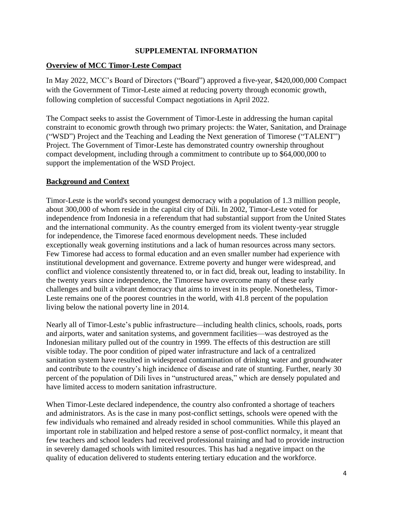## **SUPPLEMENTAL INFORMATION**

## **Overview of MCC Timor-Leste Compact**

In May 2022, MCC's Board of Directors ("Board") approved a five-year, \$420,000,000 Compact with the Government of Timor-Leste aimed at reducing poverty through economic growth, following completion of successful Compact negotiations in April 2022.

The Compact seeks to assist the Government of Timor-Leste in addressing the human capital constraint to economic growth through two primary projects: the Water, Sanitation, and Drainage ("WSD") Project and the Teaching and Leading the Next generation of Timorese ("TALENT") Project. The Government of Timor-Leste has demonstrated country ownership throughout compact development, including through a commitment to contribute up to \$64,000,000 to support the implementation of the WSD Project.

### **Background and Context**

Timor-Leste is the world's second youngest democracy with a population of 1.3 million people, about 300,000 of whom reside in the capital city of Dili. In 2002, Timor-Leste voted for independence from Indonesia in a referendum that had substantial support from the United States and the international community. As the country emerged from its violent twenty-year struggle for independence, the Timorese faced enormous development needs. These included exceptionally weak governing institutions and a lack of human resources across many sectors. Few Timorese had access to formal education and an even smaller number had experience with institutional development and governance. Extreme poverty and hunger were widespread, and conflict and violence consistently threatened to, or in fact did, break out, leading to instability. In the twenty years since independence, the Timorese have overcome many of these early challenges and built a vibrant democracy that aims to invest in its people. Nonetheless, Timor-Leste remains one of the poorest countries in the world, with 41.8 percent of the population living below the national poverty line in 2014.

Nearly all of Timor-Leste's public infrastructure—including health clinics, schools, roads, ports and airports, water and sanitation systems, and government facilities—was destroyed as the Indonesian military pulled out of the country in 1999. The effects of this destruction are still visible today. The poor condition of piped water infrastructure and lack of a centralized sanitation system have resulted in widespread contamination of drinking water and groundwater and contribute to the country's high incidence of disease and rate of stunting. Further, nearly 30 percent of the population of Dili lives in "unstructured areas," which are densely populated and have limited access to modern sanitation infrastructure.

When Timor-Leste declared independence, the country also confronted a shortage of teachers and administrators. As is the case in many post-conflict settings, schools were opened with the few individuals who remained and already resided in school communities. While this played an important role in stabilization and helped restore a sense of post-conflict normalcy, it meant that few teachers and school leaders had received professional training and had to provide instruction in severely damaged schools with limited resources. This has had a negative impact on the quality of education delivered to students entering tertiary education and the workforce.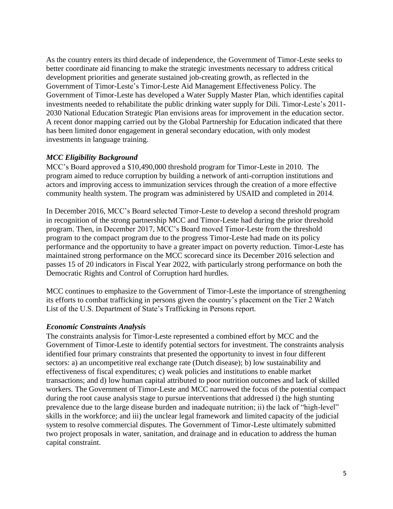As the country enters its third decade of independence, the Government of Timor-Leste seeks to better coordinate aid financing to make the strategic investments necessary to address critical development priorities and generate sustained job-creating growth, as reflected in the Government of Timor-Leste's Timor-Leste Aid Management Effectiveness Policy. The Government of Timor-Leste has developed a Water Supply Master Plan, which identifies capital investments needed to rehabilitate the public drinking water supply for Dili. Timor-Leste's 2011- 2030 National Education Strategic Plan envisions areas for improvement in the education sector. A recent donor mapping carried out by the Global Partnership for Education indicated that there has been limited donor engagement in general secondary education, with only modest investments in language training.

### *MCC Eligibility Background*

MCC's Board approved a \$10,490,000 threshold program for Timor-Leste in 2010. The program aimed to reduce corruption by building a network of anti-corruption institutions and actors and improving access to immunization services through the creation of a more effective community health system. The program was administered by USAID and completed in 2014.

In December 2016, MCC's Board selected Timor-Leste to develop a second threshold program in recognition of the strong partnership MCC and Timor-Leste had during the prior threshold program. Then, in December 2017, MCC's Board moved Timor-Leste from the threshold program to the compact program due to the progress Timor-Leste had made on its policy performance and the opportunity to have a greater impact on poverty reduction. Timor-Leste has maintained strong performance on the MCC scorecard since its December 2016 selection and passes 15 of 20 indicators in Fiscal Year 2022, with particularly strong performance on both the Democratic Rights and Control of Corruption hard hurdles.

MCC continues to emphasize to the Government of Timor-Leste the importance of strengthening its efforts to combat trafficking in persons given the country's placement on the Tier 2 Watch List of the U.S. Department of State's Trafficking in Persons report.

#### *Economic Constraints Analysis*

The constraints analysis for Timor-Leste represented a combined effort by MCC and the Government of Timor-Leste to identify potential sectors for investment. The constraints analysis identified four primary constraints that presented the opportunity to invest in four different sectors: a) an uncompetitive real exchange rate (Dutch disease); b) low sustainability and effectiveness of fiscal expenditures; c) weak policies and institutions to enable market transactions; and d) low human capital attributed to poor nutrition outcomes and lack of skilled workers. The Government of Timor-Leste and MCC narrowed the focus of the potential compact during the root cause analysis stage to pursue interventions that addressed i) the high stunting prevalence due to the large disease burden and inadequate nutrition; ii) the lack of "high-level" skills in the workforce; and iii) the unclear legal framework and limited capacity of the judicial system to resolve commercial disputes. The Government of Timor-Leste ultimately submitted two project proposals in water, sanitation, and drainage and in education to address the human capital constraint.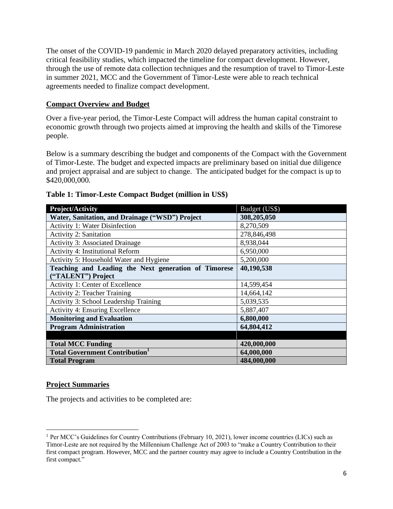The onset of the COVID-19 pandemic in March 2020 delayed preparatory activities, including critical feasibility studies, which impacted the timeline for compact development. However, through the use of remote data collection techniques and the resumption of travel to Timor-Leste in summer 2021, MCC and the Government of Timor-Leste were able to reach technical agreements needed to finalize compact development.

### **Compact Overview and Budget**

Over a five-year period, the Timor-Leste Compact will address the human capital constraint to economic growth through two projects aimed at improving the health and skills of the Timorese people.

Below is a summary describing the budget and components of the Compact with the Government of Timor-Leste. The budget and expected impacts are preliminary based on initial due diligence and project appraisal and are subject to change. The anticipated budget for the compact is up to \$420,000,000.

| Project/Activity                                     | Budget (US\$) |
|------------------------------------------------------|---------------|
| Water, Sanitation, and Drainage ("WSD") Project      | 308,205,050   |
| <b>Activity 1: Water Disinfection</b>                | 8,270,509     |
| <b>Activity 2: Sanitation</b>                        | 278,846,498   |
| <b>Activity 3: Associated Drainage</b>               | 8,938,044     |
| <b>Activity 4: Institutional Reform</b>              | 6,950,000     |
| Activity 5: Household Water and Hygiene              | 5,200,000     |
| Teaching and Leading the Next generation of Timorese | 40,190,538    |
| ("TALENT") Project                                   |               |
| Activity 1: Center of Excellence                     | 14,599,454    |
| <b>Activity 2: Teacher Training</b>                  | 14,664,142    |
| Activity 3: School Leadership Training               | 5,039,535     |
| <b>Activity 4: Ensuring Excellence</b>               | 5,887,407     |
| <b>Monitoring and Evaluation</b>                     | 6,800,000     |
| <b>Program Administration</b>                        | 64,804,412    |
|                                                      |               |
| <b>Total MCC Funding</b>                             | 420,000,000   |
| <b>Total Government Contribution</b>                 | 64,000,000    |
| <b>Total Program</b>                                 | 484,000,000   |

### **Table 1: Timor-Leste Compact Budget (million in US\$)**

#### **Project Summaries**

The projects and activities to be completed are:

<sup>1</sup> Per MCC's Guidelines for Country Contributions (February 10, 2021), lower income countries (LICs) such as Timor-Leste are not required by the Millennium Challenge Act of 2003 to "make a Country Contribution to their first compact program. However, MCC and the partner country may agree to include a Country Contribution in the first compact."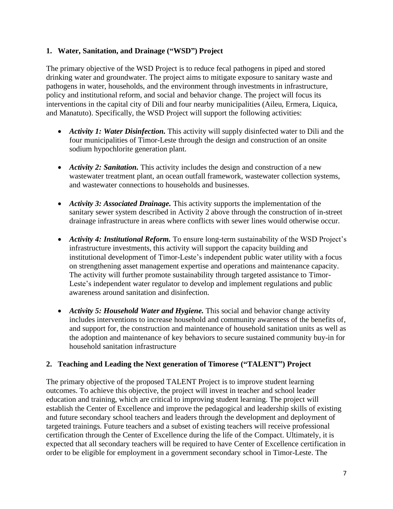## **1. Water, Sanitation, and Drainage ("WSD") Project**

The primary objective of the WSD Project is to reduce fecal pathogens in piped and stored drinking water and groundwater. The project aims to mitigate exposure to sanitary waste and pathogens in water, households, and the environment through investments in infrastructure, policy and institutional reform, and social and behavior change. The project will focus its interventions in the capital city of Dili and four nearby municipalities (Aileu, Ermera, Liquica, and Manatuto). Specifically, the WSD Project will support the following activities:

- *Activity 1: Water Disinfection*. This activity will supply disinfected water to Dili and the four municipalities of Timor-Leste through the design and construction of an onsite sodium hypochlorite generation plant.
- *Activity 2: Sanitation.* This activity includes the design and construction of a new wastewater treatment plant, an ocean outfall framework, wastewater collection systems, and wastewater connections to households and businesses.
- *Activity 3: Associated Drainage.* This activity supports the implementation of the sanitary sewer system described in Activity 2 above through the construction of in-street drainage infrastructure in areas where conflicts with sewer lines would otherwise occur.
- *Activity 4: Institutional Reform.* To ensure long-term sustainability of the WSD Project's infrastructure investments, this activity will support the capacity building and institutional development of Timor-Leste's independent public water utility with a focus on strengthening asset management expertise and operations and maintenance capacity. The activity will further promote sustainability through targeted assistance to Timor-Leste's independent water regulator to develop and implement regulations and public awareness around sanitation and disinfection.
- *Activity 5: Household Water and Hygiene.* This social and behavior change activity includes interventions to increase household and community awareness of the benefits of, and support for, the construction and maintenance of household sanitation units as well as the adoption and maintenance of key behaviors to secure sustained community buy-in for household sanitation infrastructure

## **2. Teaching and Leading the Next generation of Timorese ("TALENT") Project**

The primary objective of the proposed TALENT Project is to improve student learning outcomes. To achieve this objective, the project will invest in teacher and school leader education and training, which are critical to improving student learning. The project will establish the Center of Excellence and improve the pedagogical and leadership skills of existing and future secondary school teachers and leaders through the development and deployment of targeted trainings. Future teachers and a subset of existing teachers will receive professional certification through the Center of Excellence during the life of the Compact. Ultimately, it is expected that all secondary teachers will be required to have Center of Excellence certification in order to be eligible for employment in a government secondary school in Timor-Leste. The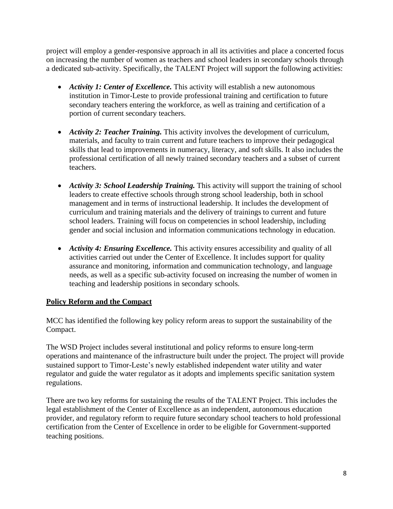project will employ a gender-responsive approach in all its activities and place a concerted focus on increasing the number of women as teachers and school leaders in secondary schools through a dedicated sub-activity. Specifically, the TALENT Project will support the following activities:

- *Activity 1: Center of Excellence*. This activity will establish a new autonomous institution in Timor-Leste to provide professional training and certification to future secondary teachers entering the workforce, as well as training and certification of a portion of current secondary teachers.
- *Activity 2: Teacher Training.* This activity involves the development of curriculum, materials, and faculty to train current and future teachers to improve their pedagogical skills that lead to improvements in numeracy, literacy, and soft skills. It also includes the professional certification of all newly trained secondary teachers and a subset of current teachers.
- *Activity 3: School Leadership Training*. This activity will support the training of school leaders to create effective schools through strong school leadership, both in school management and in terms of instructional leadership. It includes the development of curriculum and training materials and the delivery of trainings to current and future school leaders. Training will focus on competencies in school leadership, including gender and social inclusion and information communications technology in education.
- *Activity 4: Ensuring Excellence*. This activity ensures accessibility and quality of all activities carried out under the Center of Excellence. It includes support for quality assurance and monitoring, information and communication technology, and language needs, as well as a specific sub-activity focused on increasing the number of women in teaching and leadership positions in secondary schools.

# **Policy Reform and the Compact**

MCC has identified the following key policy reform areas to support the sustainability of the Compact.

The WSD Project includes several institutional and policy reforms to ensure long-term operations and maintenance of the infrastructure built under the project. The project will provide sustained support to Timor-Leste's newly established independent water utility and water regulator and guide the water regulator as it adopts and implements specific sanitation system regulations.

There are two key reforms for sustaining the results of the TALENT Project. This includes the legal establishment of the Center of Excellence as an independent, autonomous education provider, and regulatory reform to require future secondary school teachers to hold professional certification from the Center of Excellence in order to be eligible for Government-supported teaching positions.